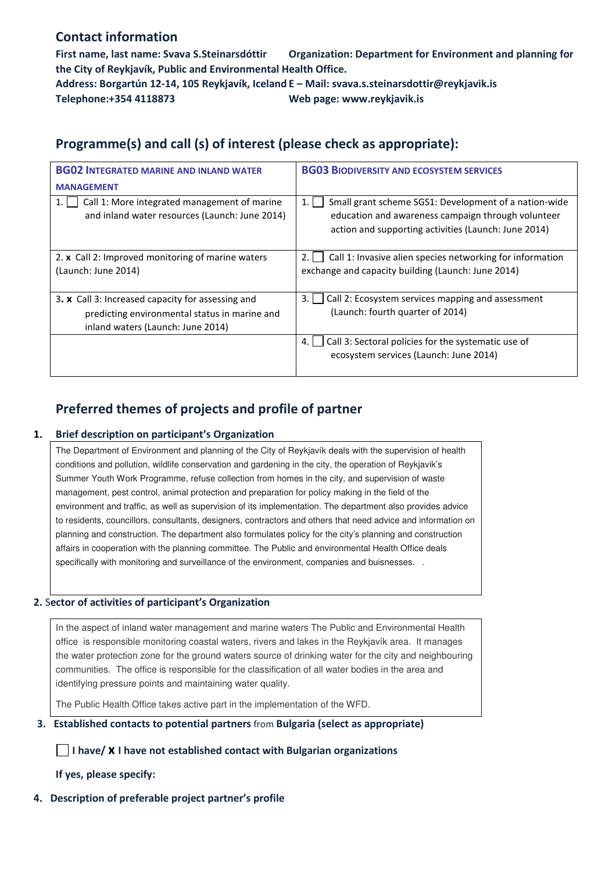## **Contact information**

**First name, last name: Svava S.Steinarsdóttir Organization: Department for Environment and planning for the City of Reykjavík, Public and Environmental Health Office.** 

**Address: Borgartún 12-14, 105 Reykjavík, Iceland E – Mail: svava.s.steinarsdottir@reykjavik.is Telephone:+354 4118873 Web page: www.reykjavik.is** 

## **Programme(s) and call (s) of interest (please check as appropriate):**

| <b>BG02 INTEGRATED MARINE AND INLAND WATER</b><br><b>MANAGEMENT</b>                                                                     | <b>BG03 BIODIVERSITY AND ECOSYSTEM SERVICES</b>                                                                                                                           |
|-----------------------------------------------------------------------------------------------------------------------------------------|---------------------------------------------------------------------------------------------------------------------------------------------------------------------------|
| Call 1: More integrated management of marine<br>1.<br>and inland water resources (Launch: June 2014)                                    | Small grant scheme SGS1: Development of a nation-wide<br>1.<br>education and awareness campaign through volunteer<br>action and supporting activities (Launch: June 2014) |
| 2. x Call 2: Improved monitoring of marine waters<br>(Launch: June 2014)                                                                | Call 1: Invasive alien species networking for information<br>2.<br>exchange and capacity building (Launch: June 2014)                                                     |
| 3. x Call 3: Increased capacity for assessing and<br>predicting environmental status in marine and<br>inland waters (Launch: June 2014) | 3.<br>Call 2: Ecosystem services mapping and assessment<br>(Launch: fourth quarter of 2014)                                                                               |
|                                                                                                                                         | Call 3: Sectoral policies for the systematic use of<br>4.<br>ecosystem services (Launch: June 2014)                                                                       |

# **Preferred themes of projects and profile of partner**

### **1. Brief description on participant's Organization**

The Department of Environment and planning of the City of Reykjavík deals with the supervision of health conditions and pollution, wildlife conservation and gardening in the city, the operation of Reykjavik's Summer Youth Work Programme, refuse collection from homes in the city, and supervision of waste management, pest control, animal protection and preparation for policy making in the field of the environment and traffic, as well as supervision of its implementation. The department also provides advice to residents, councillors, consultants, designers, contractors and others that need advice and information on planning and construction. The department also formulates policy for the city's planning and construction affairs in cooperation with the planning committee. The Public and environmental Health Office deals specifically with monitoring and surveillance of the environment, companies and buisnesses. .

## **2.** S**ector of activities of participant's Organization**

In the aspect of inland water management and marine waters The Public and Environmental Health office is responsible monitoring coastal waters, rivers and lakes in the Reykjavík area. It manages the water protection zone for the ground waters source of drinking water for the city and neighbouring communities. The office is responsible for the classification of all water bodies in the area and identifying pressure points and maintaining water quality.

The Public Health Office takes active part in the implementation of the WFD.

#### **3. Established contacts to potential partners** from **Bulgaria (select as appropriate)**

**I have/ x I have not established contact with Bulgarian organizations** 

**If yes, please specify:** 

#### **4. Description of preferable project partner's profile**